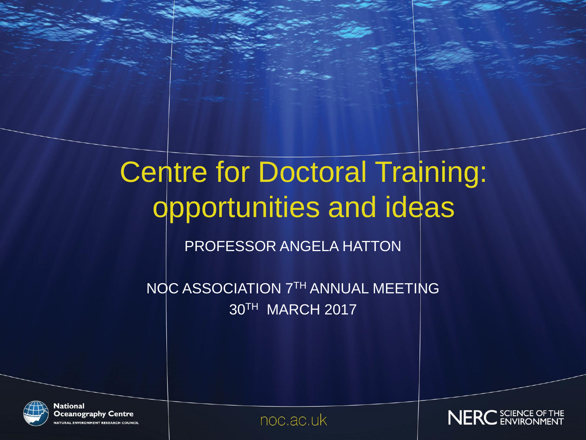# Centre for Doctoral Training: opportunities and ideas

PROFESSOR ANGELA HATTON

NOC ASSOCIATION 7TH ANNUAL MEETING 30TH MARCH 2017



National **Oceanography Centre TURAL ENVIRONMENT RESEARCH COUNCIL** 

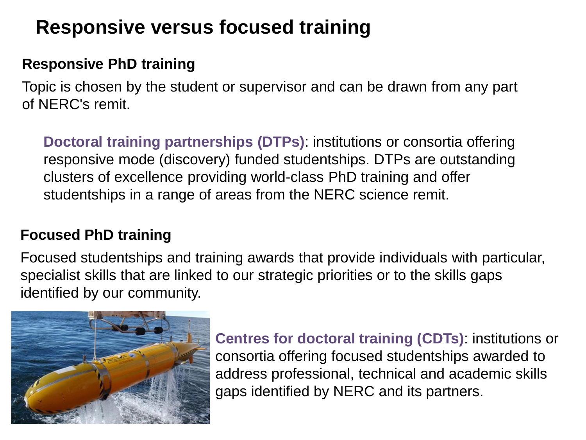## **Responsive versus focused training**

## **Responsive PhD training**

Topic is chosen by the student or supervisor and can be drawn from any part of NERC's remit.

**Doctoral training partnerships (DTPs)**: institutions or consortia offering responsive mode (discovery) funded studentships. DTPs are outstanding clusters of excellence providing world-class PhD training and offer studentships in a range of areas from the NERC science remit.

### **Focused PhD training**

Focused studentships and training awards that provide individuals with particular, specialist skills that are linked to our strategic priorities or to the skills gaps identified by our community.



**Centres for doctoral training (CDTs)**: institutions or consortia offering focused studentships awarded to address professional, technical and academic skills gaps identified by NERC and its partners.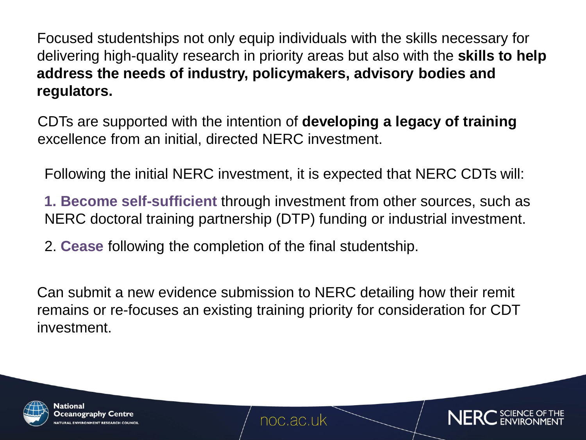Focused studentships not only equip individuals with the skills necessary for delivering high-quality research in priority areas but also with the **skills to help address the needs of industry, policymakers, advisory bodies and regulators.** 

CDTs are supported with the intention of **developing a legacy of training**  excellence from an initial, directed NERC investment.

Following the initial NERC investment, it is expected that NERC CDTs will:

**1. Become self-sufficient** through investment from other sources, such as NERC doctoral training partnership (DTP) funding or industrial investment.

2. **Cease** following the completion of the final studentship.

Can submit a new evidence submission to NERC detailing how their remit remains or re-focuses an existing training priority for consideration for CDT investment.



National Oceanography Centre **RAL ENVIRONMENT RESEARCH COL** 

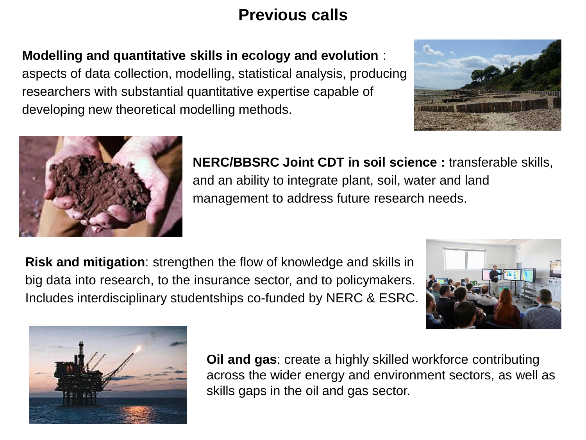## **Previous calls**

**Modelling and quantitative skills in ecology and evolution** :

aspects of data collection, modelling, statistical analysis, producing researchers with substantial quantitative expertise capable of developing new theoretical modelling methods.





**NERC/BBSRC Joint CDT in soil science :** transferable skills, and an ability to integrate plant, soil, water and land management to address future research needs.

**Risk and mitigation**: strengthen the flow of knowledge and skills in big data into research, to the insurance sector, and to policymakers. Includes interdisciplinary studentships co-funded by NERC & ESRC.





**Oil and gas**: create a highly skilled workforce contributing across the wider energy and environment sectors, as well as skills gaps in the oil and gas sector.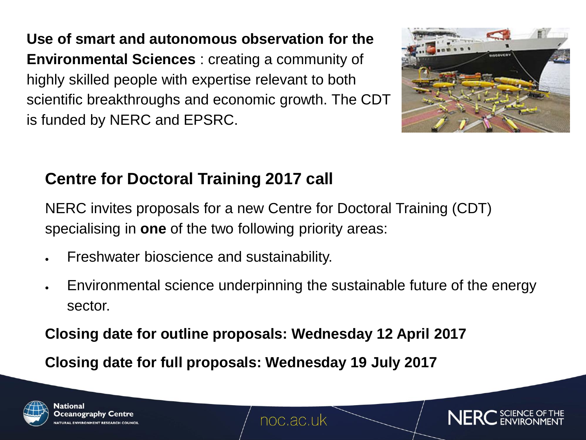**Use of smart and autonomous observation for the Environmental Sciences** : creating a community of highly skilled people with expertise relevant to both scientific breakthroughs and economic growth. The CDT is funded by NERC and EPSRC.



## **Centre for Doctoral Training 2017 call**

NERC invites proposals for a new Centre for Doctoral Training (CDT) specialising in **one** of the two following priority areas:

- Freshwater bioscience and sustainability.
- Environmental science underpinning the sustainable future of the energy sector.

**Closing date for outline proposals: Wednesday 12 April 2017**

**Closing date for full proposals: Wednesday 19 July 2017**





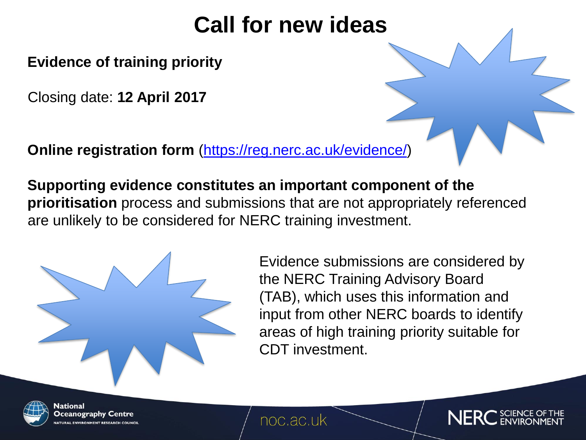## **Call for new ideas**

**Evidence of training priority** 

Closing date: **12 April 2017**

**Online registration form** [\(https://reg.nerc.ac.uk/evidence/\)](https://reg.nerc.ac.uk/evidence/)

**Supporting evidence constitutes an important component of the prioritisation** process and submissions that are not appropriately referenced are unlikely to be considered for NERC training investment.

> Evidence submissions are considered by the NERC Training Advisory Board (TAB), which uses this information and input from other NERC boards to identify areas of high training priority suitable for CDT investment.



National Oceanography Centre

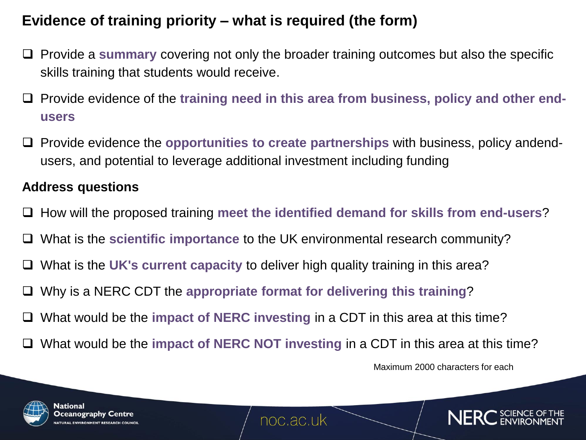## **Evidence of training priority – what is required (the form)**

- Provide a **summary** covering not only the broader training outcomes but also the specific skills training that students would receive.
- □ Provide evidence of the training need in this area from business, policy and other end**users**
- Provide evidence the **opportunities to create partnerships** with business, policy andendusers, and potential to leverage additional investment including funding

#### **Address questions**

- □ How will the proposed training meet the identified demand for skills from end-users?
- What is the **scientific importance** to the UK environmental research community?
- What is the **UK's current capacity** to deliver high quality training in this area?
- Why is a NERC CDT the **appropriate format for delivering this training**?
- □ What would be the **impact of NERC investing** in a CDT in this area at this time?
- □ What would be the **impact of NERC NOT investing** in a CDT in this area at this time?

Maximum 2000 characters for each



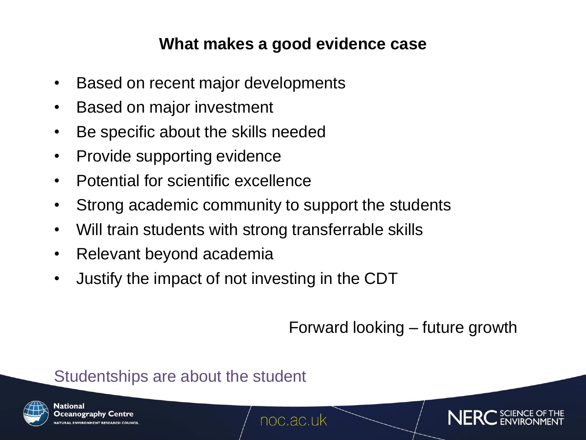## **What makes a good evidence case**

- Based on recent major developments
- Based on major investment
- Be specific about the skills needed
- Provide supporting evidence
- Potential for scientific excellence
- Strong academic community to support the students
- Will train students with strong transferrable skills
- Relevant beyond academia
- Justify the impact of not investing in the CDT

Forward looking – future growth

## Studentships are about the student



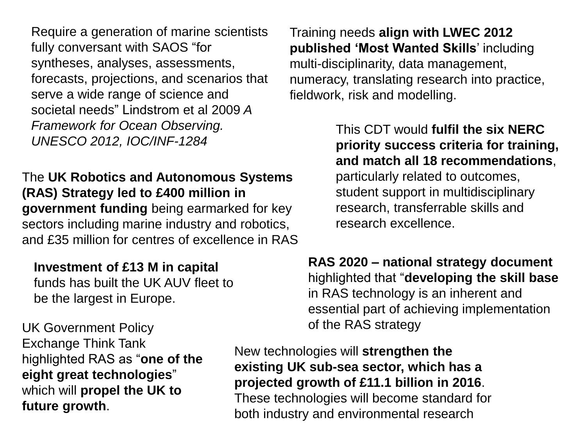Require a generation of marine scientists fully conversant with SAOS "for syntheses, analyses, assessments, forecasts, projections, and scenarios that serve a wide range of science and societal needs" Lindstrom et al 2009 *A Framework for Ocean Observing. UNESCO 2012, IOC/INF-1284*

The **UK Robotics and Autonomous Systems (RAS) Strategy led to £400 million in government funding** being earmarked for key sectors including marine industry and robotics, and £35 million for centres of excellence in RAS

#### **Investment of £13 M in capital**

funds has built the UK AUV fleet to be the largest in Europe.

UK Government Policy and the RAS strategy Exchange Think Tank highlighted RAS as "**one of the eight great technologies**" which will **propel the UK to future growth**.

Training needs **align with LWEC 2012 published 'Most Wanted Skills**' including multi-disciplinarity, data management, numeracy, translating research into practice, fieldwork, risk and modelling.

> This CDT would **fulfil the six NERC priority success criteria for training, and match all 18 recommendations**, particularly related to outcomes, student support in multidisciplinary research, transferrable skills and research excellence.

**RAS 2020 – national strategy document**  highlighted that "**developing the skill base** in RAS technology is an inherent and essential part of achieving implementation

New technologies will **strengthen the existing UK sub-sea sector, which has a projected growth of £11.1 billion in 2016**. These technologies will become standard for both industry and environmental research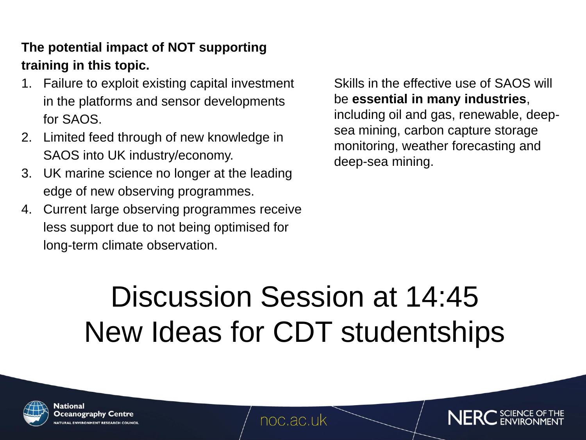### **The potential impact of NOT supporting training in this topic.**

- 1. Failure to exploit existing capital investment in the platforms and sensor developments for SAOS.
- 2. Limited feed through of new knowledge in SAOS into UK industry/economy.
- 3. UK marine science no longer at the leading edge of new observing programmes.
- 4. Current large observing programmes receive less support due to not being optimised for long-term climate observation.

Skills in the effective use of SAOS will be **essential in many industries**, including oil and gas, renewable, deepsea mining, carbon capture storage monitoring, weather forecasting and deep-sea mining.

# Discussion Session at 14:45 New Ideas for CDT studentships



National Oceanography Centre URAL ENVIRONMENT RESEARCH COUNCI